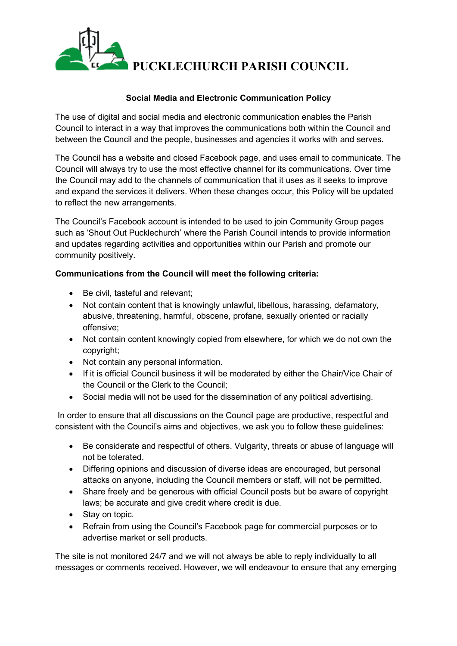

# **Social Media and Electronic Communication Policy**

The use of digital and social media and electronic communication enables the Parish Council to interact in a way that improves the communications both within the Council and between the Council and the people, businesses and agencies it works with and serves.

The Council has a website and closed Facebook page, and uses email to communicate. The Council will always try to use the most effective channel for its communications. Over time the Council may add to the channels of communication that it uses as it seeks to improve and expand the services it delivers. When these changes occur, this Policy will be updated to reflect the new arrangements.

The Council's Facebook account is intended to be used to join Community Group pages such as 'Shout Out Pucklechurch' where the Parish Council intends to provide information and updates regarding activities and opportunities within our Parish and promote our community positively.

# **Communications from the Council will meet the following criteria:**

- Be civil, tasteful and relevant;
- Not contain content that is knowingly unlawful, libellous, harassing, defamatory, abusive, threatening, harmful, obscene, profane, sexually oriented or racially offensive;
- Not contain content knowingly copied from elsewhere, for which we do not own the copyright;
- Not contain any personal information.
- If it is official Council business it will be moderated by either the Chair/Vice Chair of the Council or the Clerk to the Council;
- Social media will not be used for the dissemination of any political advertising.

In order to ensure that all discussions on the Council page are productive, respectful and consistent with the Council's aims and objectives, we ask you to follow these guidelines:

- Be considerate and respectful of others. Vulgarity, threats or abuse of language will not be tolerated.
- Differing opinions and discussion of diverse ideas are encouraged, but personal attacks on anyone, including the Council members or staff, will not be permitted.
- Share freely and be generous with official Council posts but be aware of copyright laws; be accurate and give credit where credit is due.
- Stay on topic.
- Refrain from using the Council's Facebook page for commercial purposes or to advertise market or sell products.

The site is not monitored 24/7 and we will not always be able to reply individually to all messages or comments received. However, we will endeavour to ensure that any emerging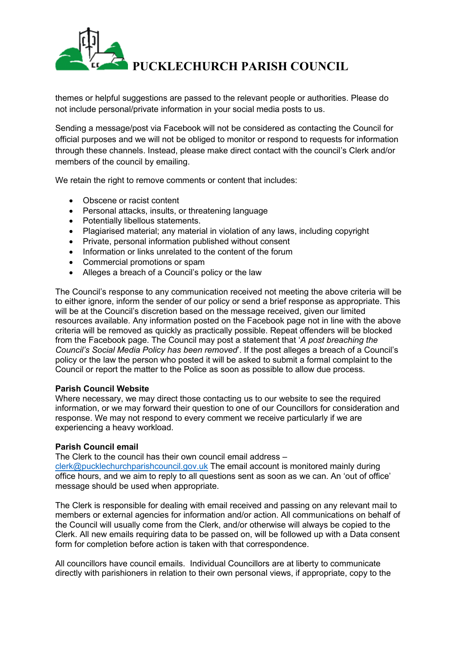

themes or helpful suggestions are passed to the relevant people or authorities. Please do not include personal/private information in your social media posts to us.

Sending a message/post via Facebook will not be considered as contacting the Council for official purposes and we will not be obliged to monitor or respond to requests for information through these channels. Instead, please make direct contact with the council's Clerk and/or members of the council by emailing.

We retain the right to remove comments or content that includes:

- Obscene or racist content
- Personal attacks, insults, or threatening language
- Potentially libellous statements.
- Plagiarised material; any material in violation of any laws, including copyright
- Private, personal information published without consent
- Information or links unrelated to the content of the forum
- Commercial promotions or spam
- Alleges a breach of a Council's policy or the law

The Council's response to any communication received not meeting the above criteria will be to either ignore, inform the sender of our policy or send a brief response as appropriate. This will be at the Council's discretion based on the message received, given our limited resources available. Any information posted on the Facebook page not in line with the above criteria will be removed as quickly as practically possible. Repeat offenders will be blocked from the Facebook page. The Council may post a statement that '*A post breaching the Council's Social Media Policy has been removed*'. If the post alleges a breach of a Council's policy or the law the person who posted it will be asked to submit a formal complaint to the Council or report the matter to the Police as soon as possible to allow due process.

## **Parish Council Website**

Where necessary, we may direct those contacting us to our website to see the required information, or we may forward their question to one of our Councillors for consideration and response. We may not respond to every comment we receive particularly if we are experiencing a heavy workload.

## **Parish Council email**

The Clerk to the council has their own council email address – [clerk@pucklechurchparishcouncil.gov.uk](mailto:clerk@pucklechurchparishcouncil.gov.uk) The email account is monitored mainly during office hours, and we aim to reply to all questions sent as soon as we can. An 'out of office' message should be used when appropriate.

The Clerk is responsible for dealing with email received and passing on any relevant mail to members or external agencies for information and/or action. All communications on behalf of the Council will usually come from the Clerk, and/or otherwise will always be copied to the Clerk. All new emails requiring data to be passed on, will be followed up with a Data consent form for completion before action is taken with that correspondence.

All councillors have council emails. Individual Councillors are at liberty to communicate directly with parishioners in relation to their own personal views, if appropriate, copy to the